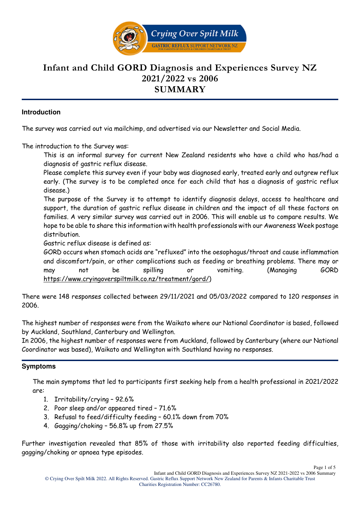

# **Infant and Child GORD Diagnosis and Experiences Survey NZ 2021/2022 vs 2006 SUMMARY**

#### **Introduction**

The survey was carried out via mailchimp, and advertised via our Newsletter and Social Media.

The introduction to the Survey was:

This is an informal survey for current New Zealand residents who have a child who has/had a diagnosis of gastric reflux disease.

Please complete this survey even if your baby was diagnosed early, treated early and outgrew reflux early. (The survey is to be completed once for each child that has a diagnosis of gastric reflux disease.)

The purpose of the Survey is to attempt to identify diagnosis delays, access to healthcare and support, the duration of gastric reflux disease in children and the impact of all these factors on families. A very similar survey was carried out in 2006. This will enable us to compare results. We hope to be able to share this information with health professionals with our Awareness Week postage distribution.

Gastric reflux disease is defined as:

GORD occurs when stomach acids are "refluxed" into the oesophagus/throat and cause inflammation and discomfort/pain, or other complications such as feeding or breathing problems. There may or may not be spilling or vomiting. (Managing GORD https://www.cryingoverspiltmilk.co.nz/treatment/gord/)

There were 148 responses collected between 29/11/2021 and 05/03/2022 compared to 120 responses in 2006.

The highest number of responses were from the Waikato where our National Coordinator is based, followed by Auckland, Southland, Canterbury and Wellington.

In 2006, the highest number of responses were from Auckland, followed by Canterbury (where our National Coordinator was based), Waikato and Wellington with Southland having no responses.

#### **Symptoms**

The main symptoms that led to participants first seeking help from a health professional in 2021/2022 are:

- 1. Irritability/crying 92.6%
- 2. Poor sleep and/or appeared tired 71.6%
- 3. Refusal to feed/difficulty feeding 60.1% down from 70%
- 4. Gagging/choking 56.8% up from 27.5%

Further investigation revealed that 85% of those with irritability also reported feeding difficulties, gagging/choking or apnoea type episodes.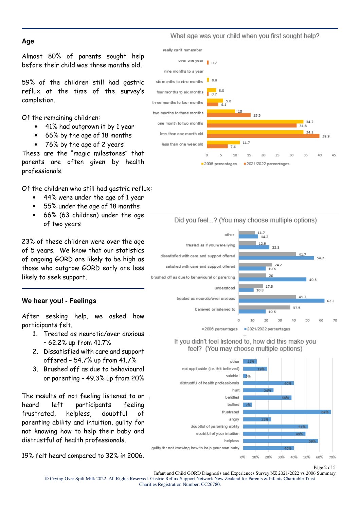#### **Age**

Almost 80% of parents sought help before their child was three months old.

59% of the children still had gastric reflux at the time of the survey's completion.

Of the remaining children:

- 41% had outgrown it by 1 year
- 66% by the age of 18 months
- 76% by the age of 2 years

These are the "magic milestones" that parents are often given by health professionals.

Of the children who still had gastric reflux:

- 44% were under the age of 1 year
- 55% under the age of 18 months
- 66% (63 children) under the age of two years

23% of these children were over the age of 5 years. We know that our statistics of ongoing GORD are likely to be high as those who outgrow GORD early are less likely to seek support.

# **We hear you! - Feelings**

After seeking help, we asked how participants felt.

- 1. Treated as neurotic/over anxious – 62.2% up from 41.7%
- 2. Dissatisfied with care and support offered – 54.7% up from 41.7%
- 3. Brushed off as due to behavioural or parenting – 49.3% up from 20%

The results of not feeling listened to or heard left participants feeling frustrated, helpless, doubtful of parenting ability and intuition, guilty for not knowing how to help their baby and distrustful of health professionals.

19% felt heard compared to 32% in 2006.

What age was your child when you first sought help?





#### If you didn't feel listened to, how did this make you feel? (You may choose multiple options)



Page 2 of 5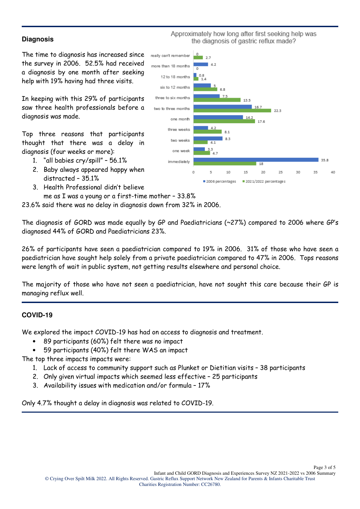## **Diagnosis**

The time to diagnosis has increased since the survey in 2006. 52.5% had received a diagnosis by one month after seeking help with 19% having had three visits.

In keeping with this 29% of participants saw three health professionals before a diagnosis was made.

Top three reasons that participants thought that there was a delay in diagnosis (four weeks or more):

- 1. "all babies cry/spill" 56.1%
- 2. Baby always appeared happy when distracted – 35.1%
- 3. Health Professional didn't believe me as I was a young or a first-time mother – 33.8%

23.6% said there was no delay in diagnosis down from 32% in 2006.

The diagnosis of GORD was made equally by GP and Paediatricians (~27%) compared to 2006 where GP's diagnosed 44% of GORD and Paediatricians 23%.

26% of participants have seen a paediatrician compared to 19% in 2006. 31% of those who have seen a paediatrician have sought help solely from a private paediatrician compared to 47% in 2006. Tops reasons were length of wait in public system, not getting results elsewhere and personal choice.

The majority of those who have not seen a paediatrician, have not sought this care because their GP is managing reflux well.

#### **COVID-19**

We explored the impact COVID-19 has had on access to diagnosis and treatment.

- 89 participants (60%) felt there was no impact
- 59 participants (40%) felt there WAS an impact

The top three impacts impacts were:

- 1. Lack of access to community support such as Plunket or Dietitian visits 38 participants
- 2. Only given virtual impacts which seemed less effective 25 participants
- 3. Availability issues with medication and/or formula 17%

Only 4.7% thought a delay in diagnosis was related to COVID-19.



Approximately how long after first seeking help was the diagnosis of gastric reflux made?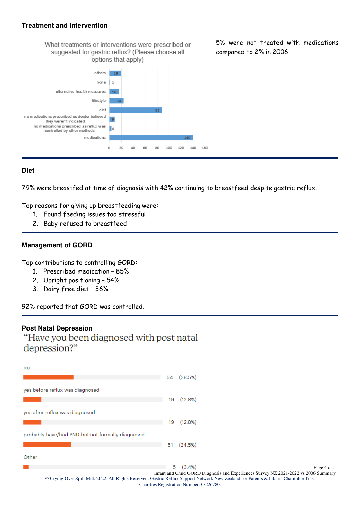#### **Treatment and Intervention**





5% were not treated with medications compared to 2% in 2006

## **Diet**

79% were breastfed at time of diagnosis with 42% continuing to breastfeed despite gastric reflux.

Top reasons for giving up breastfeeding were:

- 1. Found feeding issues too stressful
- 2. Baby refused to breastfeed

#### **Management of GORD**

Top contributions to controlling GORD:

- 1. Prescribed medication 85%
- 2. Upright positioning 54%
- 3. Dairy free diet 36%

92% reported that GORD was controlled.

#### **Post Natal Depression**

"Have you been diagnosed with post natal depression?"

| no    |                                                                                                                                                                                  |    |                                                                                     |  |  |  |
|-------|----------------------------------------------------------------------------------------------------------------------------------------------------------------------------------|----|-------------------------------------------------------------------------------------|--|--|--|
|       |                                                                                                                                                                                  | 54 | (36.5%)                                                                             |  |  |  |
|       | yes before reflux was diagnosed                                                                                                                                                  |    |                                                                                     |  |  |  |
|       |                                                                                                                                                                                  | 19 | (12.8%)                                                                             |  |  |  |
|       | yes after reflux was diagnosed                                                                                                                                                   |    |                                                                                     |  |  |  |
|       |                                                                                                                                                                                  | 19 | (12.8%)                                                                             |  |  |  |
|       | probably have/had PND but not formally diagnosed                                                                                                                                 |    |                                                                                     |  |  |  |
|       |                                                                                                                                                                                  | 51 | (34.5%)                                                                             |  |  |  |
| Other |                                                                                                                                                                                  |    |                                                                                     |  |  |  |
|       |                                                                                                                                                                                  |    | $5(3.4\%)$<br>Page 4 of 5                                                           |  |  |  |
|       |                                                                                                                                                                                  |    | Infant and Child GORD Diagnosis and Experiences Survey NZ 2021-2022 vs 2006 Summary |  |  |  |
|       | © Crying Over Spilt Milk 2022. All Rights Reserved. Gastric Reflux Support Network New Zealand for Parents & Infants Charitable Trust<br>Charities Registration Number: CC26780. |    |                                                                                     |  |  |  |
|       |                                                                                                                                                                                  |    |                                                                                     |  |  |  |